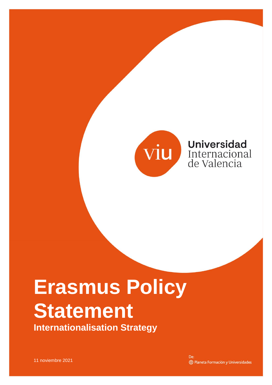

**Universidad** Internacional de Valencia

## **Erasmus Policy Statement Internationalisation Strategy**

11 noviembre 2021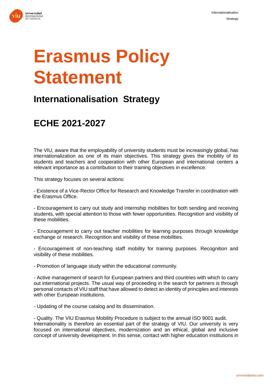



## **Erasmus Policy Statement**

## **Internationalisation Strategy**

## **ECHE 2021-2027**

The VIU, aware that the employability of university students must be increasingly global, has internationalization as one of its main objectives. This strategy gives the mobility of its students and teachers and cooperation with other European and international centers a relevant importance as a contribution to their training objectives in excellence.

This strategy focuses on several actions:

- Existence of a Vice-Rector Office for Research and Knowledge Transfer in coordination with the Erasmus Office.

- Encouragement to carry out study and internship mobilities for both sending and receiving students, with special attention to those with fewer opportunities. Recognition and visibility of these mobilities.

- Encouragement to carry out teacher mobilities for learning purposes through knowledge exchange or research. Recognition and visibility of these mobilities.

- Encouragement of non-teaching staff mobility for training purposes. Recognition and visibility of these mobilities.

- Promotion of language study within the educational community.

- Active management of search for European partners and third countries with which to carry out international projects. The usual way of proceeding in the search for partners is through personal contacts of VIU staff that have allowed to detect an identity of principles and interests with other European institutions.

- Updating of the course catalog and its dissemination.

- Quality. The VIU Erasmus Mobility Procedure is subject to the annual ISO 9001 audit. Internationality is therefore an essential part of the strategy of VIU. Our university is very focused on international objectives, modernization and an ethical, global and inclusive concept of university development. In this sense, contact with higher education institutions in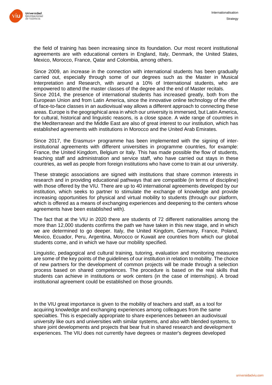

the field of training has been increasing since its foundation. Our most recent institutional agreements are with educational centers in England, Italy, Denmark, the United States, Mexico, Morocco, France, Qatar and Colombia, among others.

Since 2009, an increase in the connection with international students has been gradually carried out, especially through some of our degrees such as the Master in Musical Interpretation and Research, with around a 10% of International students, who are empowered to attend the master classes of the degree and the end of Master recitals. Since 2014, the presence of international students has increased greatly, both from the European Union and from Latin America, since the innovative online technology of the offer of face-to-face classes in an audiovisual way allows a different approach to connecting these areas. Europe is the geographical area in which our university is immersed, but Latin America, for cultural, historical and linguistic reasons, is a close space. A wide range of countries in the Mediterranean and the Middle East are also of great interest to our institution, which has established agreements with institutions in Morocco and the United Arab Emirates.

Since 2017, the Erasmus+ programme has been implemented with the signing of interinstitutional agreements with different universities in programme countries, for example: France, the United Kingdom, Belgium or Italy. This has made possible the flow of students, teaching staff and administration and service staff, who have carried out stays in these countries, as well as people from foreign institutions who have come to train at our university.

These strategic associations are signed with institutions that share common interests in research and in providing educational pathways that are compatible (in terms of discipline) with those offered by the VIU. There are up to 40 international agreements developed by our institution, which seeks to partner to stimulate the exchange of knowledge and provide increasing opportunities for physical and virtual mobility to students (through our platform, which is offered as a means of exchanging experiences and deepening to the centers whose agreements have been established with).

The fact that at the VIU in 2020 there are students of 72 different nationalities among the more than 12,000 students confirms the path we have taken in this new stage, and in which we are determined to go deeper. Italy, the United Kingdom, Germany, France, Poland, Mexico, Ecuador, Peru, Argentina, Morocco or Kuwait are countries from which our global students come, and in which we have our mobility specified.

Linguistic, pedagogical and cultural training, tutoring, evaluation and monitoring measures are some of the key points of the guidelines of our institution in relation to mobility. The choice of new partners for the development of common projects will be made through a selection process based on shared competences. The procedure is based on the real skills that students can achieve in institutions or work centers (in the case of internships). A broad institutional agreement could be established on those grounds.

In the VIU great importance is given to the mobility of teachers and staff, as a tool for acquiring knowledge and exchanging experiences among colleagues from the same specialties. This is especially appropriate to share experiences between an audiovisual university like ours and universities with similar systems, and also with blended systems, to share joint developments and projects that bear fruit in shared research and development experiences. The VIU does not currently have degrees or master's degrees developed